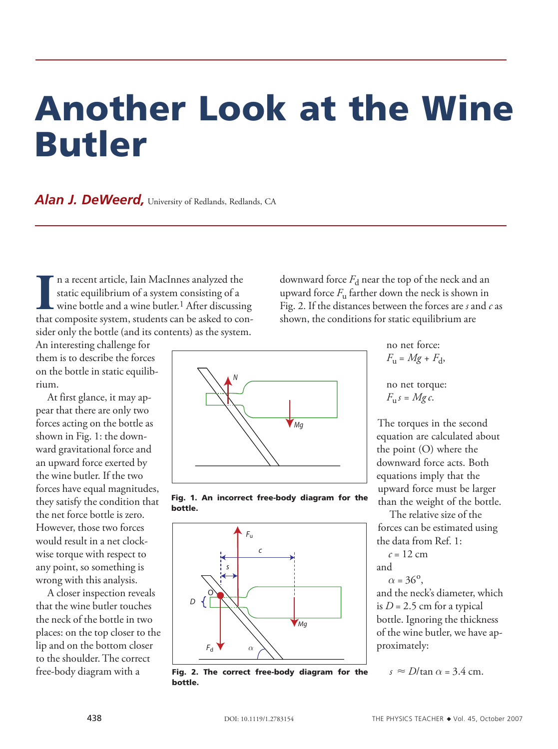## Another Look at the Wine Butler

**Alan J. DeWeerd,** University of Redlands, Redlands, CA

Il a recent article, Iain MacInnes analyzed the static equilibrium of a system consisting of a wine bottle and a wine butler.<sup>1</sup> After discussing that composite system, students can be asked to conn a recent article, Iain MacInnes analyzed the static equilibrium of a system consisting of a  $\mathsf{\mathsf{L}}$  wine bottle and a wine butler.<sup>1</sup> After discussing sider only the bottle (and its contents) as the system.

An interesting challenge for them is to describe the forces on the bottle in static equilibrium.

At first glance, it may appear that there are only two forces acting on the bottle as shown in Fig. 1: the downward gravitational force and an upward force exerted by the wine butler. If the two forces have equal magnitudes, they satisfy the condition that the net force bottle is zero. However, those two forces would result in a net clockwise torque with respect to any point, so something is wrong with this analysis.

A closer inspection reveals that the wine butler touches the neck of the bottle in two places: on the top closer to the lip and on the bottom closer to the shoulder. The correct free-body diagram with a

downward force  $F_d$  near the top of the neck and an upward force  $F_{\rm u}$  farther down the neck is shown in Fig. 2. If the distances between the forces are *s* and *c* as shown, the conditions for static equilibrium are







Fig. 2. The correct free-body diagram for the bottle.

 $F_{\rm u} = Mg + F_{\rm d}$ , no net torque:

no net force:

$$
F_{\mathbf{u}}s = Mg\,c.
$$

The torques in the second equation are calculated about the point (O) where the downward force acts. Both equations imply that the upward force must be larger than the weight of the bottle.

The relative size of the forces can be estimated using the data from Ref. 1:

 $c = 12$  cm and

 $\alpha = 36^{\circ}$ ,

and the neck's diameter, which is  $D = 2.5$  cm for a typical bottle. Ignoring the thickness of the wine butler, we have approximately:

 $s \approx D/\tan \alpha = 3.4$  cm.